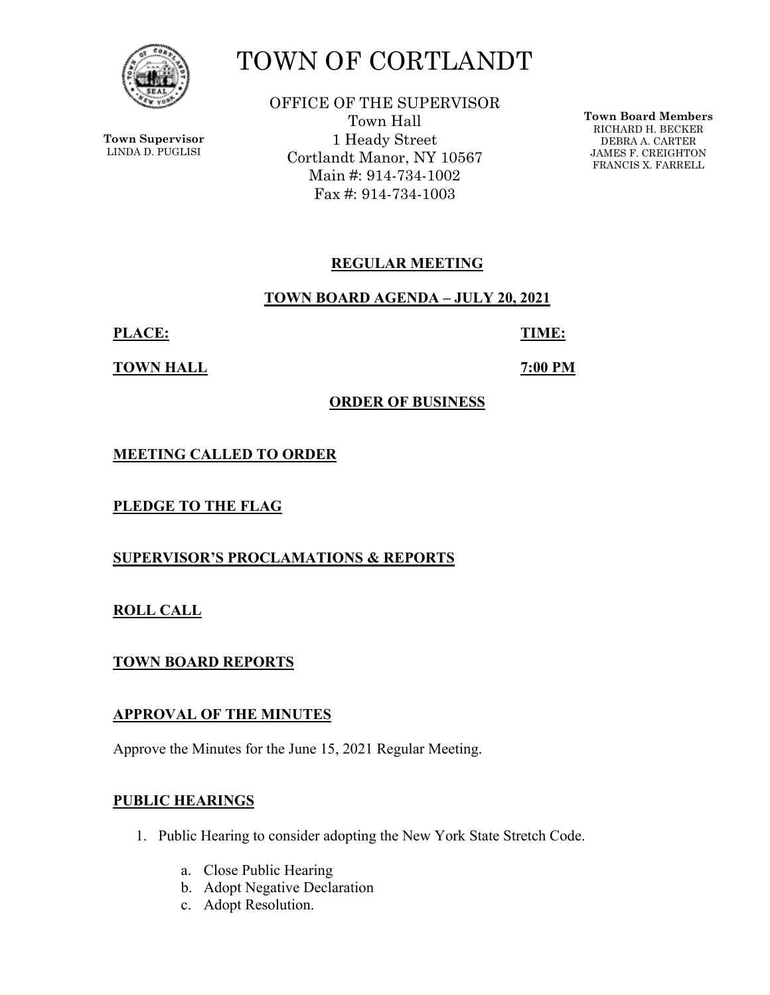

**Town Supervisor** LINDA D. PUGLISI

# TOWN OF CORTLANDT

OFFICE OF THE SUPERVISOR Town Hall 1 Heady Street Cortlandt Manor, NY 10567 Main #: 914-734-1002 Fax #: 914-734-1003

**Town Board Members** RICHARD H. BECKER DEBRA A. CARTER JAMES F. CREIGHTON FRANCIS X. FARRELL

# **REGULAR MEETING**

**TOWN BOARD AGENDA – JULY 20, 2021** 

**PLACE: TIME:** 

**TOWN HALL 7:00 PM** 

## **ORDER OF BUSINESS**

**MEETING CALLED TO ORDER** 

**PLEDGE TO THE FLAG** 

**SUPERVISOR'S PROCLAMATIONS & REPORTS** 

**ROLL CALL** 

**TOWN BOARD REPORTS** 

## **APPROVAL OF THE MINUTES**

Approve the Minutes for the June 15, 2021 Regular Meeting.

# **PUBLIC HEARINGS**

- 1. Public Hearing to consider adopting the New York State Stretch Code.
	- a. Close Public Hearing
	- b. Adopt Negative Declaration
	- c. Adopt Resolution.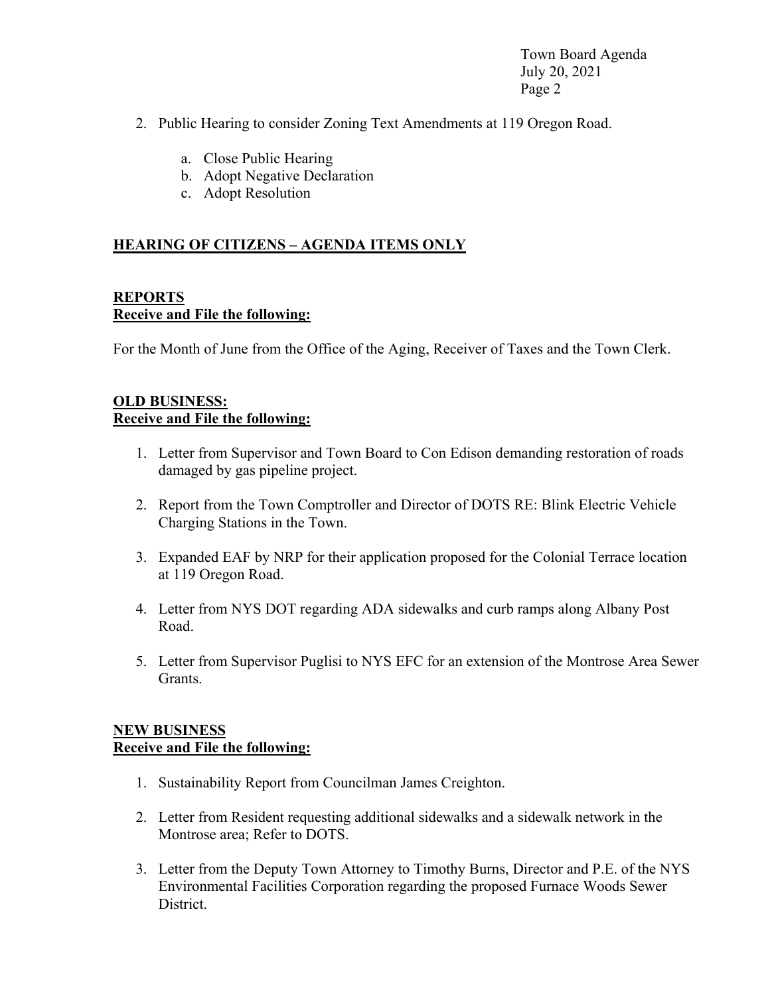Town Board Agenda July 20, 2021 Page 2

- 2. Public Hearing to consider Zoning Text Amendments at 119 Oregon Road.
	- a. Close Public Hearing
	- b. Adopt Negative Declaration
	- c. Adopt Resolution

#### **HEARING OF CITIZENS – AGENDA ITEMS ONLY**

#### **REPORTS Receive and File the following:**

For the Month of June from the Office of the Aging, Receiver of Taxes and the Town Clerk.

#### **OLD BUSINESS: Receive and File the following:**

- 1. Letter from Supervisor and Town Board to Con Edison demanding restoration of roads damaged by gas pipeline project.
- 2. Report from the Town Comptroller and Director of DOTS RE: Blink Electric Vehicle Charging Stations in the Town.
- 3. Expanded EAF by NRP for their application proposed for the Colonial Terrace location at 119 Oregon Road.
- 4. Letter from NYS DOT regarding ADA sidewalks and curb ramps along Albany Post Road.
- 5. Letter from Supervisor Puglisi to NYS EFC for an extension of the Montrose Area Sewer Grants.

#### **NEW BUSINESS Receive and File the following:**

- 1. Sustainability Report from Councilman James Creighton.
- 2. Letter from Resident requesting additional sidewalks and a sidewalk network in the Montrose area; Refer to DOTS.
- 3. Letter from the Deputy Town Attorney to Timothy Burns, Director and P.E. of the NYS Environmental Facilities Corporation regarding the proposed Furnace Woods Sewer District.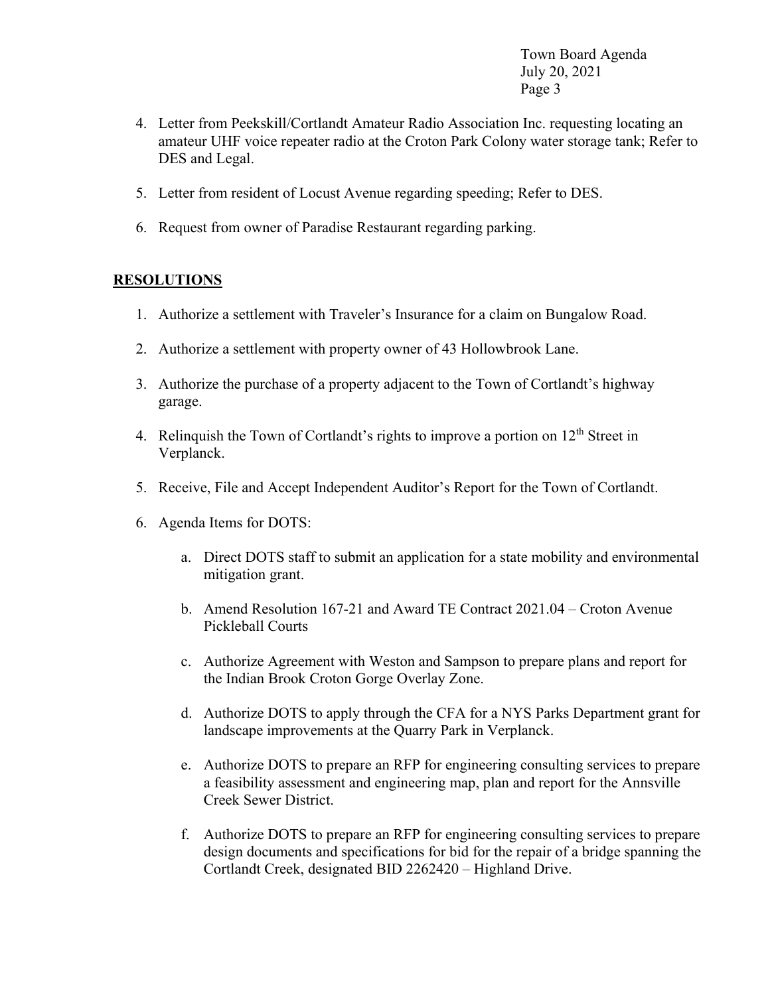Town Board Agenda July 20, 2021 Page 3

- 4. Letter from Peekskill/Cortlandt Amateur Radio Association Inc. requesting locating an amateur UHF voice repeater radio at the Croton Park Colony water storage tank; Refer to DES and Legal.
- 5. Letter from resident of Locust Avenue regarding speeding; Refer to DES.
- 6. Request from owner of Paradise Restaurant regarding parking.

## **RESOLUTIONS**

- 1. Authorize a settlement with Traveler's Insurance for a claim on Bungalow Road.
- 2. Authorize a settlement with property owner of 43 Hollowbrook Lane.
- 3. Authorize the purchase of a property adjacent to the Town of Cortlandt's highway garage.
- 4. Relinguish the Town of Cortlandt's rights to improve a portion on  $12<sup>th</sup>$  Street in Verplanck.
- 5. Receive, File and Accept Independent Auditor's Report for the Town of Cortlandt.
- 6. Agenda Items for DOTS:
	- a. Direct DOTS staff to submit an application for a state mobility and environmental mitigation grant.
	- b. Amend Resolution 167-21 and Award TE Contract 2021.04 Croton Avenue Pickleball Courts
	- c. Authorize Agreement with Weston and Sampson to prepare plans and report for the Indian Brook Croton Gorge Overlay Zone.
	- d. Authorize DOTS to apply through the CFA for a NYS Parks Department grant for landscape improvements at the Quarry Park in Verplanck.
	- e. Authorize DOTS to prepare an RFP for engineering consulting services to prepare a feasibility assessment and engineering map, plan and report for the Annsville Creek Sewer District.
	- f. Authorize DOTS to prepare an RFP for engineering consulting services to prepare design documents and specifications for bid for the repair of a bridge spanning the Cortlandt Creek, designated BID 2262420 – Highland Drive.